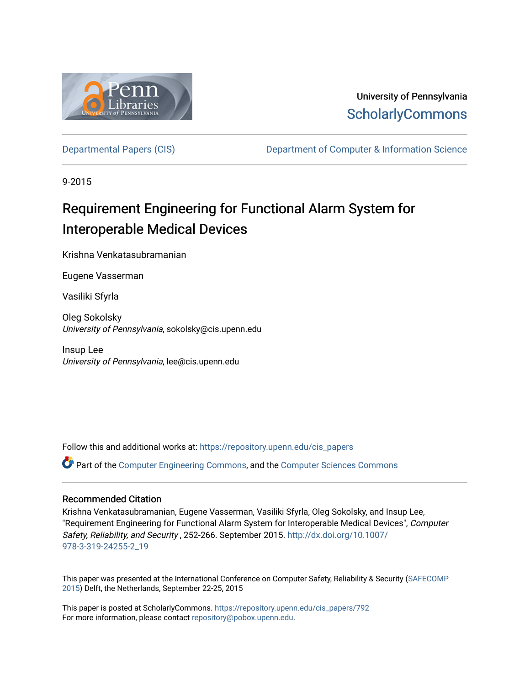

University of Pennsylvania **ScholarlyCommons** 

[Departmental Papers \(CIS\)](https://repository.upenn.edu/cis_papers) [Department of Computer & Information Science](https://repository.upenn.edu/cis) 

9-2015

# Requirement Engineering for Functional Alarm System for Interoperable Medical Devices

Krishna Venkatasubramanian

Eugene Vasserman

Vasiliki Sfyrla

Oleg Sokolsky University of Pennsylvania, sokolsky@cis.upenn.edu

Insup Lee University of Pennsylvania, lee@cis.upenn.edu

Follow this and additional works at: [https://repository.upenn.edu/cis\\_papers](https://repository.upenn.edu/cis_papers?utm_source=repository.upenn.edu%2Fcis_papers%2F792&utm_medium=PDF&utm_campaign=PDFCoverPages)

Part of the [Computer Engineering Commons,](http://network.bepress.com/hgg/discipline/258?utm_source=repository.upenn.edu%2Fcis_papers%2F792&utm_medium=PDF&utm_campaign=PDFCoverPages) and the [Computer Sciences Commons](http://network.bepress.com/hgg/discipline/142?utm_source=repository.upenn.edu%2Fcis_papers%2F792&utm_medium=PDF&utm_campaign=PDFCoverPages) 

## Recommended Citation

Krishna Venkatasubramanian, Eugene Vasserman, Vasiliki Sfyrla, Oleg Sokolsky, and Insup Lee, "Requirement Engineering for Functional Alarm System for Interoperable Medical Devices", Computer Safety, Reliability, and Security , 252-266. September 2015. [http://dx.doi.org/10.1007/](http://dx.doi.org/10.1007/978-3-319-24255-2_19) [978-3-319-24255-2\\_19](http://dx.doi.org/10.1007/978-3-319-24255-2_19) 

This paper was presented at the International Conference on Computer Safety, Reliability & Security ([SAFECOMP](http://safecomp2015.tudelft.nl/)  [2015](http://safecomp2015.tudelft.nl/)) Delft, the Netherlands, September 22-25, 2015

This paper is posted at ScholarlyCommons. [https://repository.upenn.edu/cis\\_papers/792](https://repository.upenn.edu/cis_papers/792)  For more information, please contact [repository@pobox.upenn.edu.](mailto:repository@pobox.upenn.edu)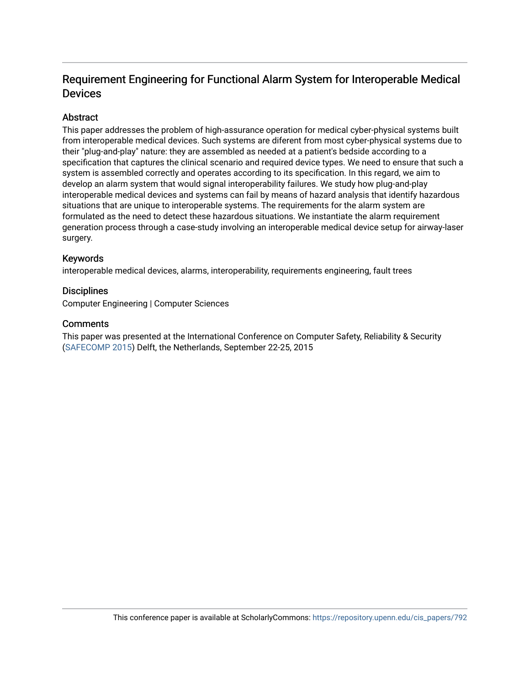## Requirement Engineering for Functional Alarm System for Interoperable Medical Devices

## **Abstract**

This paper addresses the problem of high-assurance operation for medical cyber-physical systems built from interoperable medical devices. Such systems are diferent from most cyber-physical systems due to their "plug-and-play" nature: they are assembled as needed at a patient's bedside according to a specification that captures the clinical scenario and required device types. We need to ensure that such a system is assembled correctly and operates according to its specification. In this regard, we aim to develop an alarm system that would signal interoperability failures. We study how plug-and-play interoperable medical devices and systems can fail by means of hazard analysis that identify hazardous situations that are unique to interoperable systems. The requirements for the alarm system are formulated as the need to detect these hazardous situations. We instantiate the alarm requirement generation process through a case-study involving an interoperable medical device setup for airway-laser surgery.

## Keywords

interoperable medical devices, alarms, interoperability, requirements engineering, fault trees

## **Disciplines**

Computer Engineering | Computer Sciences

## **Comments**

This paper was presented at the International Conference on Computer Safety, Reliability & Security [\(SAFECOMP 2015](http://safecomp2015.tudelft.nl/)) Delft, the Netherlands, September 22-25, 2015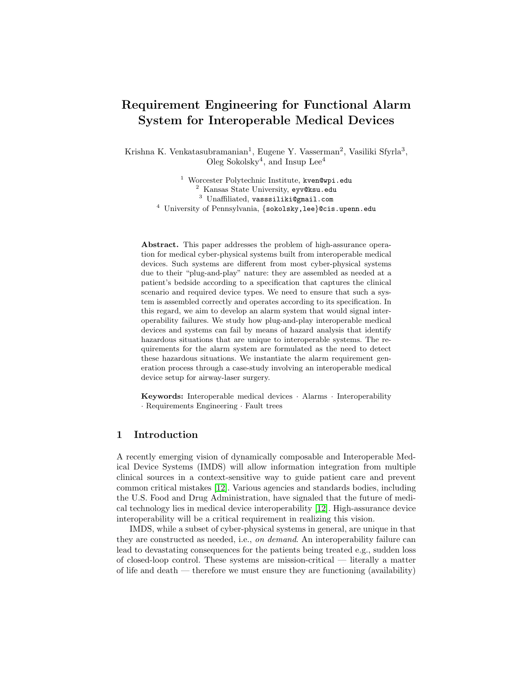## Requirement Engineering for Functional Alarm System for Interoperable Medical Devices

Krishna K. Venkatasubramanian<sup>1</sup>, Eugene Y. Vasserman<sup>2</sup>, Vasiliki Sfyrla<sup>3</sup>, Oleg Sokolsky<sup>4</sup>, and Insup Lee<sup>4</sup>

> <sup>1</sup> Worcester Polytechnic Institute, kven@wpi.edu  $2$  Kansas State University, eyv@ksu.edu <sup>3</sup> Unaffiliated, vasssiliki@gmail.com <sup>4</sup> University of Pennsylvania, {sokolsky, lee}@cis.upenn.edu

Abstract. This paper addresses the problem of high-assurance operation for medical cyber-physical systems built from interoperable medical devices. Such systems are different from most cyber-physical systems due to their "plug-and-play" nature: they are assembled as needed at a patient's bedside according to a specification that captures the clinical scenario and required device types. We need to ensure that such a system is assembled correctly and operates according to its specification. In this regard, we aim to develop an alarm system that would signal interoperability failures. We study how plug-and-play interoperable medical devices and systems can fail by means of hazard analysis that identify hazardous situations that are unique to interoperable systems. The requirements for the alarm system are formulated as the need to detect these hazardous situations. We instantiate the alarm requirement generation process through a case-study involving an interoperable medical device setup for airway-laser surgery.

Keywords: Interoperable medical devices · Alarms · Interoperability · Requirements Engineering · Fault trees

## 1 Introduction

A recently emerging vision of dynamically composable and Interoperable Medical Device Systems (IMDS) will allow information integration from multiple clinical sources in a context-sensitive way to guide patient care and prevent common critical mistakes [\[12\]](#page-16-0). Various agencies and standards bodies, including the U.S. Food and Drug Administration, have signaled that the future of medical technology lies in medical device interoperability [\[12\]](#page-16-0). High-assurance device interoperability will be a critical requirement in realizing this vision.

IMDS, while a subset of cyber-physical systems in general, are unique in that they are constructed as needed, i.e., on demand. An interoperability failure can lead to devastating consequences for the patients being treated e.g., sudden loss of closed-loop control. These systems are mission-critical — literally a matter of life and death — therefore we must ensure they are functioning (availability)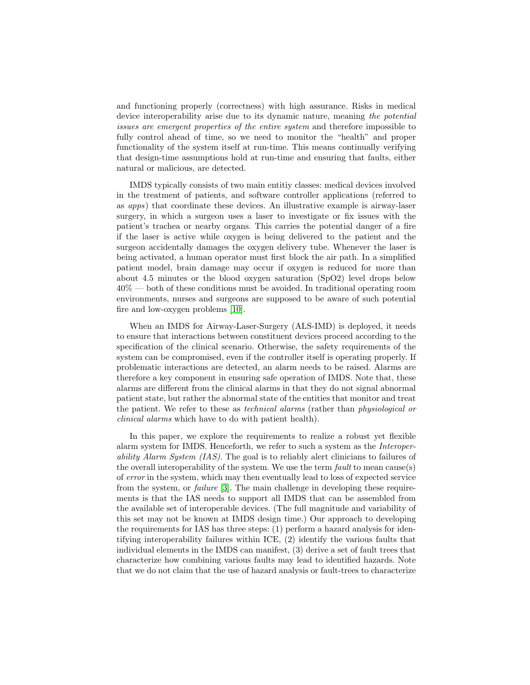and functioning properly (correctness) with high assurance. Risks in medical device interoperability arise due to its dynamic nature, meaning the potential issues are emergent properties of the entire system and therefore impossible to fully control ahead of time, so we need to monitor the "health" and proper functionality of the system itself at run-time. This means continually verifying that design-time assumptions hold at run-time and ensuring that faults, either natural or malicious, are detected.

IMDS typically consists of two main entitiy classes: medical devices involved in the treatment of patients, and software controller applications (referred to as apps) that coordinate these devices. An illustrative example is airway-laser surgery, in which a surgeon uses a laser to investigate or fix issues with the patient's trachea or nearby organs. This carries the potential danger of a fire if the laser is active while oxygen is being delivered to the patient and the surgeon accidentally damages the oxygen delivery tube. Whenever the laser is being activated, a human operator must first block the air path. In a simplified patient model, brain damage may occur if oxygen is reduced for more than about 4.5 minutes or the blood oxygen saturation (SpO2) level drops below 40% — both of these conditions must be avoided. In traditional operating room environments, nurses and surgeons are supposed to be aware of such potential fire and low-oxygen problems [\[10\]](#page-15-0).

When an IMDS for Airway-Laser-Surgery (ALS-IMD) is deployed, it needs to ensure that interactions between constituent devices proceed according to the specification of the clinical scenario. Otherwise, the safety requirements of the system can be compromised, even if the controller itself is operating properly. If problematic interactions are detected, an alarm needs to be raised. Alarms are therefore a key component in ensuring safe operation of IMDS. Note that, these alarms are different from the clinical alarms in that they do not signal abnormal patient state, but rather the abnormal state of the entities that monitor and treat the patient. We refer to these as technical alarms (rather than physiological or clinical alarms which have to do with patient health).

In this paper, we explore the requirements to realize a robust yet flexible alarm system for IMDS. Henceforth, we refer to such a system as the Interoperability Alarm System (IAS). The goal is to reliably alert clinicians to failures of the overall interoperability of the system. We use the term fault to mean cause(s) of error in the system, which may then eventually lead to loss of expected service from the system, or failure [\[3\]](#page-15-1). The main challenge in developing these requirements is that the IAS needs to support all IMDS that can be assembled from the available set of interoperable devices. (The full magnitude and variability of this set may not be known at IMDS design time.) Our approach to developing the requirements for IAS has three steps: (1) perform a hazard analysis for identifying interoperability failures within ICE, (2) identify the various faults that individual elements in the IMDS can manifest, (3) derive a set of fault trees that characterize how combining various faults may lead to identified hazards. Note that we do not claim that the use of hazard analysis or fault-trees to characterize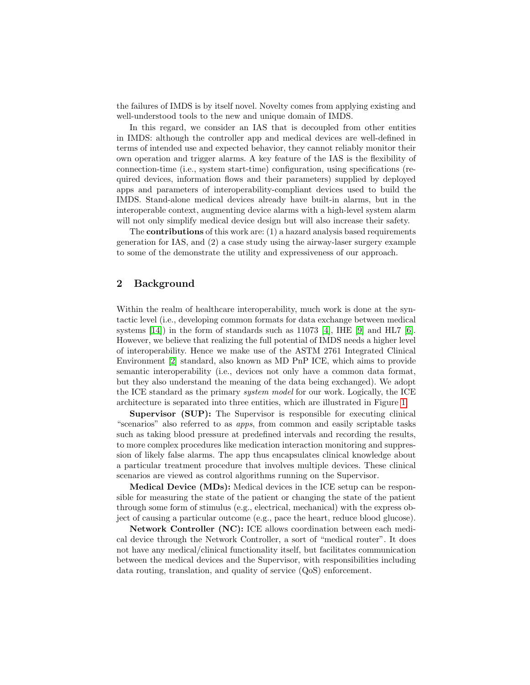the failures of IMDS is by itself novel. Novelty comes from applying existing and well-understood tools to the new and unique domain of IMDS.

In this regard, we consider an IAS that is decoupled from other entities in IMDS: although the controller app and medical devices are well-defined in terms of intended use and expected behavior, they cannot reliably monitor their own operation and trigger alarms. A key feature of the IAS is the flexibility of connection-time (i.e., system start-time) configuration, using specifications (required devices, information flows and their parameters) supplied by deployed apps and parameters of interoperability-compliant devices used to build the IMDS. Stand-alone medical devices already have built-in alarms, but in the interoperable context, augmenting device alarms with a high-level system alarm will not only simplify medical device design but will also increase their safety.

The contributions of this work are: (1) a hazard analysis based requirements generation for IAS, and (2) a case study using the airway-laser surgery example to some of the demonstrate the utility and expressiveness of our approach.

## 2 Background

Within the realm of healthcare interoperability, much work is done at the syntactic level (i.e., developing common formats for data exchange between medical systems  $[14]$ ) in the form of standards such as 11073 [\[4\]](#page-15-2), IHE [\[9\]](#page-15-3) and HL7 [\[6\]](#page-15-4). However, we believe that realizing the full potential of IMDS needs a higher level of interoperability. Hence we make use of the ASTM 2761 Integrated Clinical Environment [\[2\]](#page-15-5) standard, also known as MD PnP ICE, which aims to provide semantic interoperability (i.e., devices not only have a common data format, but they also understand the meaning of the data being exchanged). We adopt the ICE standard as the primary system model for our work. Logically, the ICE architecture is separated into three entities, which are illustrated in Figure [1:](#page-5-0)

Supervisor (SUP): The Supervisor is responsible for executing clinical "scenarios" also referred to as apps, from common and easily scriptable tasks such as taking blood pressure at predefined intervals and recording the results, to more complex procedures like medication interaction monitoring and suppression of likely false alarms. The app thus encapsulates clinical knowledge about a particular treatment procedure that involves multiple devices. These clinical scenarios are viewed as control algorithms running on the Supervisor.

Medical Device (MDs): Medical devices in the ICE setup can be responsible for measuring the state of the patient or changing the state of the patient through some form of stimulus (e.g., electrical, mechanical) with the express object of causing a particular outcome (e.g., pace the heart, reduce blood glucose).

Network Controller (NC): ICE allows coordination between each medical device through the Network Controller, a sort of "medical router". It does not have any medical/clinical functionality itself, but facilitates communication between the medical devices and the Supervisor, with responsibilities including data routing, translation, and quality of service (QoS) enforcement.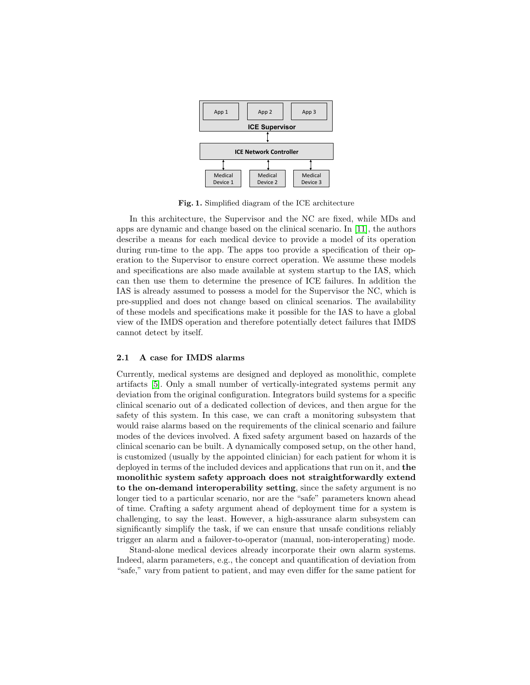

<span id="page-5-0"></span>Fig. 1. Simplified diagram of the ICE architecture

In this architecture, the Supervisor and the NC are fixed, while MDs and apps are dynamic and change based on the clinical scenario. In [\[11\]](#page-15-6), the authors describe a means for each medical device to provide a model of its operation during run-time to the app. The apps too provide a specification of their operation to the Supervisor to ensure correct operation. We assume these models and specifications are also made available at system startup to the IAS, which can then use them to determine the presence of ICE failures. In addition the IAS is already assumed to possess a model for the Supervisor the NC, which is pre-supplied and does not change based on clinical scenarios. The availability of these models and specifications make it possible for the IAS to have a global view of the IMDS operation and therefore potentially detect failures that IMDS cannot detect by itself.

#### 2.1 A case for IMDS alarms

Currently, medical systems are designed and deployed as monolithic, complete artifacts [\[5\]](#page-15-7). Only a small number of vertically-integrated systems permit any deviation from the original configuration. Integrators build systems for a specific clinical scenario out of a dedicated collection of devices, and then argue for the safety of this system. In this case, we can craft a monitoring subsystem that would raise alarms based on the requirements of the clinical scenario and failure modes of the devices involved. A fixed safety argument based on hazards of the clinical scenario can be built. A dynamically composed setup, on the other hand, is customized (usually by the appointed clinician) for each patient for whom it is deployed in terms of the included devices and applications that run on it, and the monolithic system safety approach does not straightforwardly extend to the on-demand interoperability setting, since the safety argument is no longer tied to a particular scenario, nor are the "safe" parameters known ahead of time. Crafting a safety argument ahead of deployment time for a system is challenging, to say the least. However, a high-assurance alarm subsystem can significantly simplify the task, if we can ensure that unsafe conditions reliably trigger an alarm and a failover-to-operator (manual, non-interoperating) mode.

Stand-alone medical devices already incorporate their own alarm systems. Indeed, alarm parameters, e.g., the concept and quantification of deviation from "safe," vary from patient to patient, and may even differ for the same patient for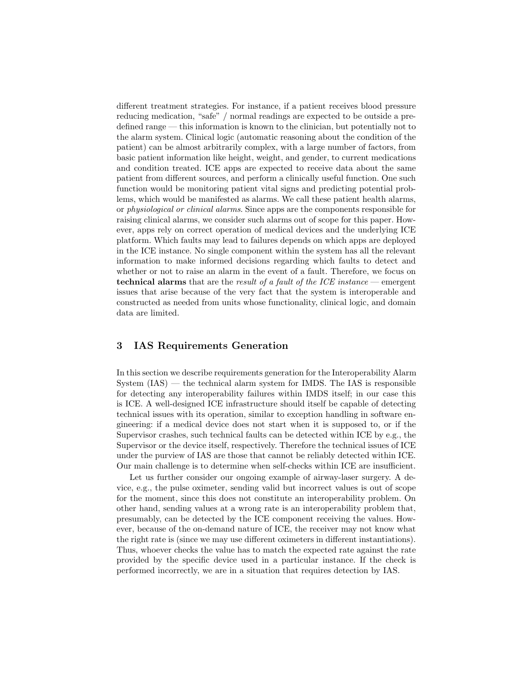different treatment strategies. For instance, if a patient receives blood pressure reducing medication, "safe" / normal readings are expected to be outside a predefined range — this information is known to the clinician, but potentially not to the alarm system. Clinical logic (automatic reasoning about the condition of the patient) can be almost arbitrarily complex, with a large number of factors, from basic patient information like height, weight, and gender, to current medications and condition treated. ICE apps are expected to receive data about the same patient from different sources, and perform a clinically useful function. One such function would be monitoring patient vital signs and predicting potential problems, which would be manifested as alarms. We call these patient health alarms, or physiological or clinical alarms. Since apps are the components responsible for raising clinical alarms, we consider such alarms out of scope for this paper. However, apps rely on correct operation of medical devices and the underlying ICE platform. Which faults may lead to failures depends on which apps are deployed in the ICE instance. No single component within the system has all the relevant information to make informed decisions regarding which faults to detect and whether or not to raise an alarm in the event of a fault. Therefore, we focus on technical alarms that are the result of a fault of the ICE instance — emergent issues that arise because of the very fact that the system is interoperable and constructed as needed from units whose functionality, clinical logic, and domain data are limited.

#### <span id="page-6-0"></span>3 IAS Requirements Generation

In this section we describe requirements generation for the Interoperability Alarm System  $(IAS)$  — the technical alarm system for IMDS. The IAS is responsible for detecting any interoperability failures within IMDS itself; in our case this is ICE. A well-designed ICE infrastructure should itself be capable of detecting technical issues with its operation, similar to exception handling in software engineering: if a medical device does not start when it is supposed to, or if the Supervisor crashes, such technical faults can be detected within ICE by e.g., the Supervisor or the device itself, respectively. Therefore the technical issues of ICE under the purview of IAS are those that cannot be reliably detected within ICE. Our main challenge is to determine when self-checks within ICE are insufficient.

Let us further consider our ongoing example of airway-laser surgery. A device, e.g., the pulse oximeter, sending valid but incorrect values is out of scope for the moment, since this does not constitute an interoperability problem. On other hand, sending values at a wrong rate is an interoperability problem that, presumably, can be detected by the ICE component receiving the values. However, because of the on-demand nature of ICE, the receiver may not know what the right rate is (since we may use different oximeters in different instantiations). Thus, whoever checks the value has to match the expected rate against the rate provided by the specific device used in a particular instance. If the check is performed incorrectly, we are in a situation that requires detection by IAS.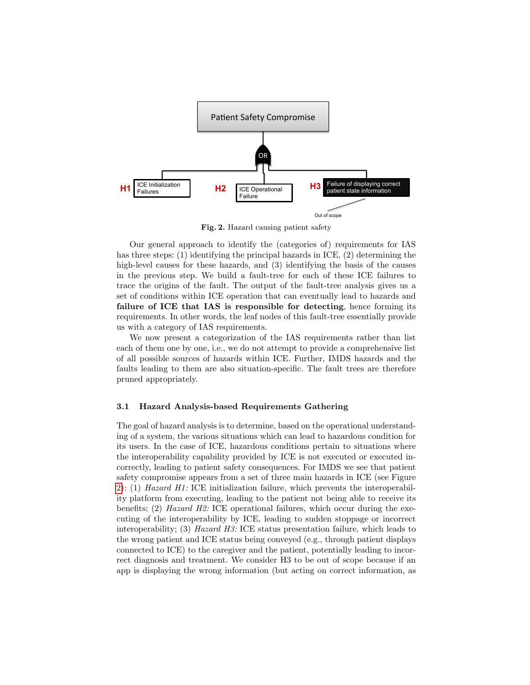

<span id="page-7-0"></span>Fig. 2. Hazard causing patient safety

Our general approach to identify the (categories of) requirements for IAS has three steps: (1) identifying the principal hazards in ICE, (2) determining the high-level causes for these hazards, and  $(3)$  identifying the basis of the causes in the previous step. We build a fault-tree for each of these ICE failures to trace the origins of the fault. The output of the fault-tree analysis gives us a set of conditions within ICE operation that can eventually lead to hazards and failure of ICE that IAS is responsible for detecting, hence forming its requirements. In other words, the leaf nodes of this fault-tree essentially provide us with a category of IAS requirements.

We now present a categorization of the IAS requirements rather than list each of them one by one, i.e., we do not attempt to provide a comprehensive list of all possible sources of hazards within ICE. Further, IMDS hazards and the faults leading to them are also situation-specific. The fault trees are therefore pruned appropriately.

#### 3.1 Hazard Analysis-based Requirements Gathering

The goal of hazard analysis is to determine, based on the operational understanding of a system, the various situations which can lead to hazardous condition for its users. In the case of ICE, hazardous conditions pertain to situations where the interoperability capability provided by ICE is not executed or executed incorrectly, leading to patient safety consequences. For IMDS we see that patient safety compromise appears from a set of three main hazards in ICE (see Figure [2\)](#page-7-0): (1) Hazard H1: ICE initialization failure, which prevents the interoperability platform from executing, leading to the patient not being able to receive its benefits; (2) Hazard H2: ICE operational failures, which occur during the executing of the interoperability by ICE, leading to sudden stoppage or incorrect interoperability; (3) Hazard H3: ICE status presentation failure, which leads to the wrong patient and ICE status being conveyed (e.g., through patient displays connected to ICE) to the caregiver and the patient, potentially leading to incorrect diagnosis and treatment. We consider H3 to be out of scope because if an app is displaying the wrong information (but acting on correct information, as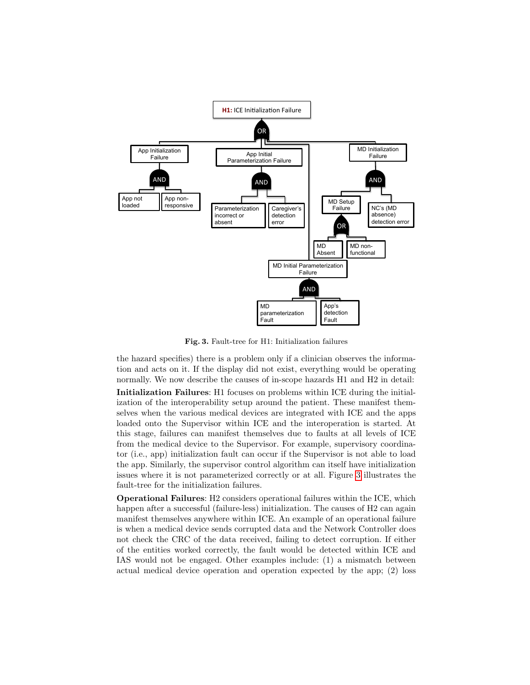

<span id="page-8-0"></span>Fig. 3. Fault-tree for H1: Initialization failures

the hazard specifies) there is a problem only if a clinician observes the information and acts on it. If the display did not exist, everything would be operating normally. We now describe the causes of in-scope hazards H1 and H2 in detail:

Initialization Failures: H1 focuses on problems within ICE during the initialization of the interoperability setup around the patient. These manifest themselves when the various medical devices are integrated with ICE and the apps loaded onto the Supervisor within ICE and the interoperation is started. At this stage, failures can manifest themselves due to faults at all levels of ICE from the medical device to the Supervisor. For example, supervisory coordinator (i.e., app) initialization fault can occur if the Supervisor is not able to load the app. Similarly, the supervisor control algorithm can itself have initialization issues where it is not parameterized correctly or at all. Figure [3](#page-8-0) illustrates the fault-tree for the initialization failures.

Operational Failures: H2 considers operational failures within the ICE, which happen after a successful (failure-less) initialization. The causes of H2 can again manifest themselves anywhere within ICE. An example of an operational failure is when a medical device sends corrupted data and the Network Controller does not check the CRC of the data received, failing to detect corruption. If either of the entities worked correctly, the fault would be detected within ICE and IAS would not be engaged. Other examples include: (1) a mismatch between actual medical device operation and operation expected by the app; (2) loss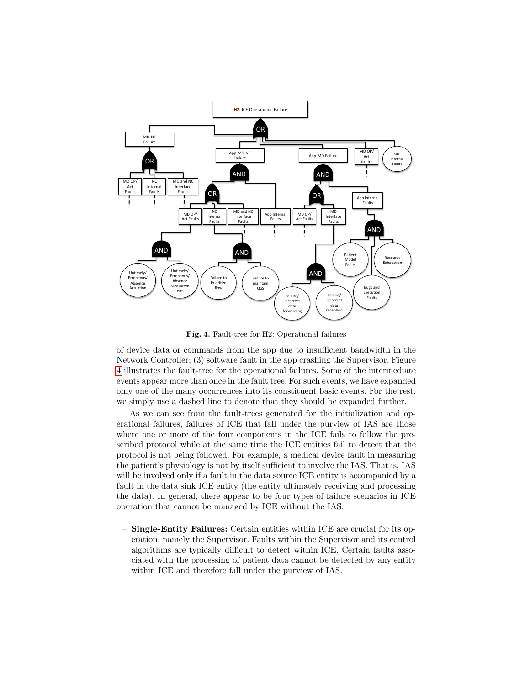

<span id="page-9-0"></span>Fig. 4. Fault-tree for H2: Operational failures

of device data or commands from the app due to insufficient bandwidth in the Network Controller; (3) software fault in the app crashing the Supervisor. Figure [4](#page-9-0) illustrates the fault-tree for the operational failures. Some of the intermediate events appear more than once in the fault tree. For such events, we have expanded only one of the many occurrences into its constituent basic events. For the rest, we simply use a dashed line to denote that they should be expanded further.

As we can see from the fault-trees generated for the initialization and operational failures, failures of ICE that fall under the purview of IAS are those where one or more of the four components in the ICE fails to follow the prescribed protocol while at the same time the ICE entities fail to detect that the protocol is not being followed. For example, a medical device fault in measuring the patient's physiology is not by itself sufficient to involve the IAS. That is, IAS will be involved only if a fault in the data source ICE entity is accompanied by a fault in the data sink ICE entity (the entity ultimately receiving and processing the data). In general, there appear to be four types of failure scenarios in ICE operation that cannot be managed by ICE without the IAS:

– Single-Entity Failures: Certain entities within ICE are crucial for its operation, namely the Supervisor. Faults within the Supervisor and its control algorithms are typically difficult to detect within ICE. Certain faults associated with the processing of patient data cannot be detected by any entity within ICE and therefore fall under the purview of IAS.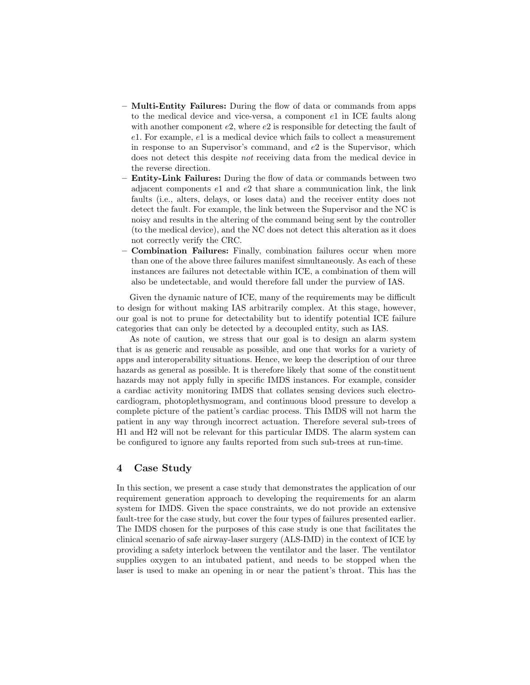- Multi-Entity Failures: During the flow of data or commands from apps to the medical device and vice-versa, a component e1 in ICE faults along with another component  $e2$ , where  $e2$  is responsible for detecting the fault of e1. For example, e1 is a medical device which fails to collect a measurement in response to an Supervisor's command, and e2 is the Supervisor, which does not detect this despite not receiving data from the medical device in the reverse direction.
- Entity-Link Failures: During the flow of data or commands between two adjacent components e1 and e2 that share a communication link, the link faults (i.e., alters, delays, or loses data) and the receiver entity does not detect the fault. For example, the link between the Supervisor and the NC is noisy and results in the altering of the command being sent by the controller (to the medical device), and the NC does not detect this alteration as it does not correctly verify the CRC.
- Combination Failures: Finally, combination failures occur when more than one of the above three failures manifest simultaneously. As each of these instances are failures not detectable within ICE, a combination of them will also be undetectable, and would therefore fall under the purview of IAS.

Given the dynamic nature of ICE, many of the requirements may be difficult to design for without making IAS arbitrarily complex. At this stage, however, our goal is not to prune for detectability but to identify potential ICE failure categories that can only be detected by a decoupled entity, such as IAS.

As note of caution, we stress that our goal is to design an alarm system that is as generic and reusable as possible, and one that works for a variety of apps and interoperability situations. Hence, we keep the description of our three hazards as general as possible. It is therefore likely that some of the constituent hazards may not apply fully in specific IMDS instances. For example, consider a cardiac activity monitoring IMDS that collates sensing devices such electrocardiogram, photoplethysmogram, and continuous blood pressure to develop a complete picture of the patient's cardiac process. This IMDS will not harm the patient in any way through incorrect actuation. Therefore several sub-trees of H1 and H2 will not be relevant for this particular IMDS. The alarm system can be configured to ignore any faults reported from such sub-trees at run-time.

## 4 Case Study

In this section, we present a case study that demonstrates the application of our requirement generation approach to developing the requirements for an alarm system for IMDS. Given the space constraints, we do not provide an extensive fault-tree for the case study, but cover the four types of failures presented earlier. The IMDS chosen for the purposes of this case study is one that facilitates the clinical scenario of safe airway-laser surgery (ALS-IMD) in the context of ICE by providing a safety interlock between the ventilator and the laser. The ventilator supplies oxygen to an intubated patient, and needs to be stopped when the laser is used to make an opening in or near the patient's throat. This has the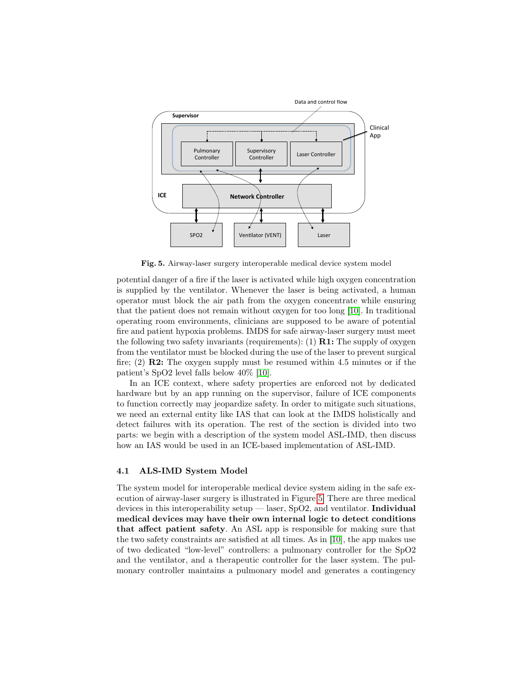

<span id="page-11-0"></span>Fig. 5. Airway-laser surgery interoperable medical device system model

potential danger of a fire if the laser is activated while high oxygen concentration is supplied by the ventilator. Whenever the laser is being activated, a human operator must block the air path from the oxygen concentrate while ensuring that the patient does not remain without oxygen for too long [\[10\]](#page-15-0). In traditional operating room environments, clinicians are supposed to be aware of potential fire and patient hypoxia problems. IMDS for safe airway-laser surgery must meet the following two safety invariants (requirements): (1)  $\mathbf{R}$ 1: The supply of oxygen from the ventilator must be blocked during the use of the laser to prevent surgical fire; (2) **R2:** The oxygen supply must be resumed within 4.5 minutes or if the patient's SpO2 level falls below 40% [\[10\]](#page-15-0).

In an ICE context, where safety properties are enforced not by dedicated hardware but by an app running on the supervisor, failure of ICE components to function correctly may jeopardize safety. In order to mitigate such situations, we need an external entity like IAS that can look at the IMDS holistically and detect failures with its operation. The rest of the section is divided into two parts: we begin with a description of the system model ASL-IMD, then discuss how an IAS would be used in an ICE-based implementation of ASL-IMD.

#### 4.1 ALS-IMD System Model

The system model for interoperable medical device system aiding in the safe execution of airway-laser surgery is illustrated in Figure [5.](#page-11-0) There are three medical devices in this interoperability setup — laser, SpO2, and ventilator. Individual medical devices may have their own internal logic to detect conditions that affect patient safety. An ASL app is responsible for making sure that the two safety constraints are satisfied at all times. As in [\[10\]](#page-15-0), the app makes use of two dedicated "low-level" controllers: a pulmonary controller for the SpO2 and the ventilator, and a therapeutic controller for the laser system. The pulmonary controller maintains a pulmonary model and generates a contingency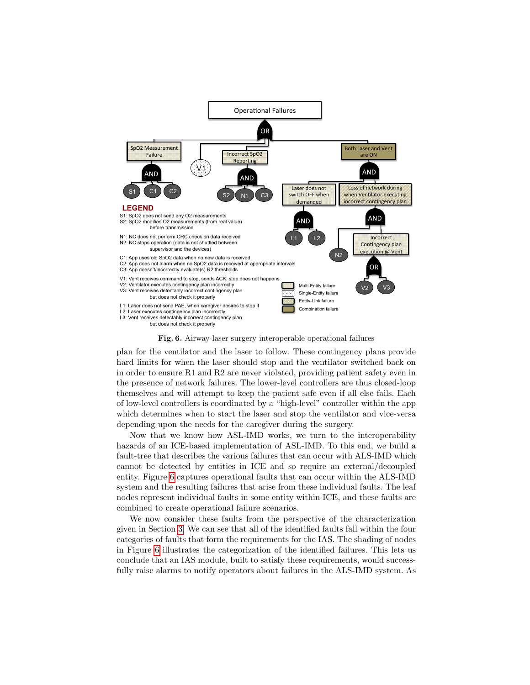

<span id="page-12-0"></span>Fig. 6. Airway-laser surgery interoperable operational failures

plan for the ventilator and the laser to follow. These contingency plans provide hard limits for when the laser should stop and the ventilator switched back on in order to ensure R1 and R2 are never violated, providing patient safety even in the presence of network failures. The lower-level controllers are thus closed-loop themselves and will attempt to keep the patient safe even if all else fails. Each of low-level controllers is coordinated by a "high-level" controller within the app which determines when to start the laser and stop the ventilator and vice-versa depending upon the needs for the caregiver during the surgery.

Now that we know how ASL-IMD works, we turn to the interoperability hazards of an ICE-based implementation of ASL-IMD. To this end, we build a fault-tree that describes the various failures that can occur with ALS-IMD which cannot be detected by entities in ICE and so require an external/decoupled entity. Figure [6](#page-12-0) captures operational faults that can occur within the ALS-IMD system and the resulting failures that arise from these individual faults. The leaf nodes represent individual faults in some entity within ICE, and these faults are combined to create operational failure scenarios.

We now consider these faults from the perspective of the characterization given in Section [3.](#page-6-0) We can see that all of the identified faults fall within the four categories of faults that form the requirements for the IAS. The shading of nodes in Figure [6](#page-12-0) illustrates the categorization of the identified failures. This lets us conclude that an IAS module, built to satisfy these requirements, would successfully raise alarms to notify operators about failures in the ALS-IMD system. As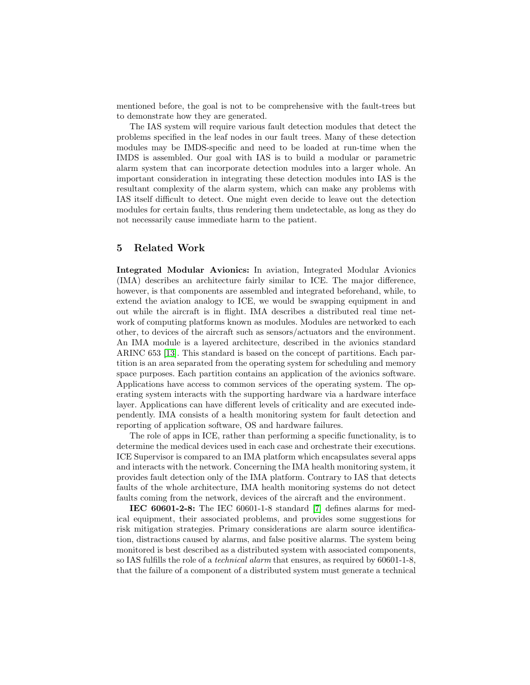mentioned before, the goal is not to be comprehensive with the fault-trees but to demonstrate how they are generated.

The IAS system will require various fault detection modules that detect the problems specified in the leaf nodes in our fault trees. Many of these detection modules may be IMDS-specific and need to be loaded at run-time when the IMDS is assembled. Our goal with IAS is to build a modular or parametric alarm system that can incorporate detection modules into a larger whole. An important consideration in integrating these detection modules into IAS is the resultant complexity of the alarm system, which can make any problems with IAS itself difficult to detect. One might even decide to leave out the detection modules for certain faults, thus rendering them undetectable, as long as they do not necessarily cause immediate harm to the patient.

## 5 Related Work

Integrated Modular Avionics: In aviation, Integrated Modular Avionics (IMA) describes an architecture fairly similar to ICE. The major difference, however, is that components are assembled and integrated beforehand, while, to extend the aviation analogy to ICE, we would be swapping equipment in and out while the aircraft is in flight. IMA describes a distributed real time network of computing platforms known as modules. Modules are networked to each other, to devices of the aircraft such as sensors/actuators and the environment. An IMA module is a layered architecture, described in the avionics standard ARINC 653 [\[13\]](#page-16-2). This standard is based on the concept of partitions. Each partition is an area separated from the operating system for scheduling and memory space purposes. Each partition contains an application of the avionics software. Applications have access to common services of the operating system. The operating system interacts with the supporting hardware via a hardware interface layer. Applications can have different levels of criticality and are executed independently. IMA consists of a health monitoring system for fault detection and reporting of application software, OS and hardware failures.

The role of apps in ICE, rather than performing a specific functionality, is to determine the medical devices used in each case and orchestrate their executions. ICE Supervisor is compared to an IMA platform which encapsulates several apps and interacts with the network. Concerning the IMA health monitoring system, it provides fault detection only of the IMA platform. Contrary to IAS that detects faults of the whole architecture, IMA health monitoring systems do not detect faults coming from the network, devices of the aircraft and the environment.

IEC 60601-2-8: The IEC 60601-1-8 standard [\[7\]](#page-15-8) defines alarms for medical equipment, their associated problems, and provides some suggestions for risk mitigation strategies. Primary considerations are alarm source identification, distractions caused by alarms, and false positive alarms. The system being monitored is best described as a distributed system with associated components, so IAS fulfills the role of a technical alarm that ensures, as required by 60601-1-8, that the failure of a component of a distributed system must generate a technical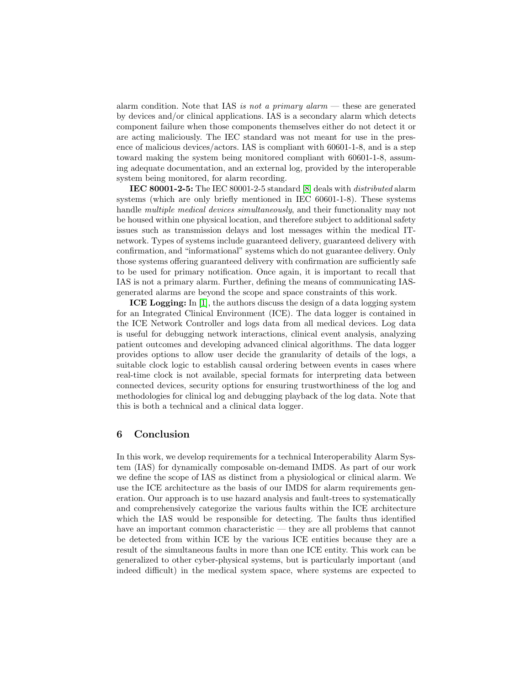alarm condition. Note that IAS is not a primary alarm  $-$  these are generated by devices and/or clinical applications. IAS is a secondary alarm which detects component failure when those components themselves either do not detect it or are acting maliciously. The IEC standard was not meant for use in the presence of malicious devices/actors. IAS is compliant with 60601-1-8, and is a step toward making the system being monitored compliant with 60601-1-8, assuming adequate documentation, and an external log, provided by the interoperable system being monitored, for alarm recording.

IEC 80001-2-5: The IEC 80001-2-5 standard [\[8\]](#page-15-9) deals with distributed alarm systems (which are only briefly mentioned in IEC 60601-1-8). These systems handle *multiple medical devices simultaneously*, and their functionality may not be housed within one physical location, and therefore subject to additional safety issues such as transmission delays and lost messages within the medical ITnetwork. Types of systems include guaranteed delivery, guaranteed delivery with confirmation, and "informational" systems which do not guarantee delivery. Only those systems offering guaranteed delivery with confirmation are sufficiently safe to be used for primary notification. Once again, it is important to recall that IAS is not a primary alarm. Further, defining the means of communicating IASgenerated alarms are beyond the scope and space constraints of this work.

ICE Logging: In [\[1\]](#page-15-10), the authors discuss the design of a data logging system for an Integrated Clinical Environment (ICE). The data logger is contained in the ICE Network Controller and logs data from all medical devices. Log data is useful for debugging network interactions, clinical event analysis, analyzing patient outcomes and developing advanced clinical algorithms. The data logger provides options to allow user decide the granularity of details of the logs, a suitable clock logic to establish causal ordering between events in cases where real-time clock is not available, special formats for interpreting data between connected devices, security options for ensuring trustworthiness of the log and methodologies for clinical log and debugging playback of the log data. Note that this is both a technical and a clinical data logger.

#### 6 Conclusion

In this work, we develop requirements for a technical Interoperability Alarm System (IAS) for dynamically composable on-demand IMDS. As part of our work we define the scope of IAS as distinct from a physiological or clinical alarm. We use the ICE architecture as the basis of our IMDS for alarm requirements generation. Our approach is to use hazard analysis and fault-trees to systematically and comprehensively categorize the various faults within the ICE architecture which the IAS would be responsible for detecting. The faults thus identified have an important common characteristic — they are all problems that cannot be detected from within ICE by the various ICE entities because they are a result of the simultaneous faults in more than one ICE entity. This work can be generalized to other cyber-physical systems, but is particularly important (and indeed difficult) in the medical system space, where systems are expected to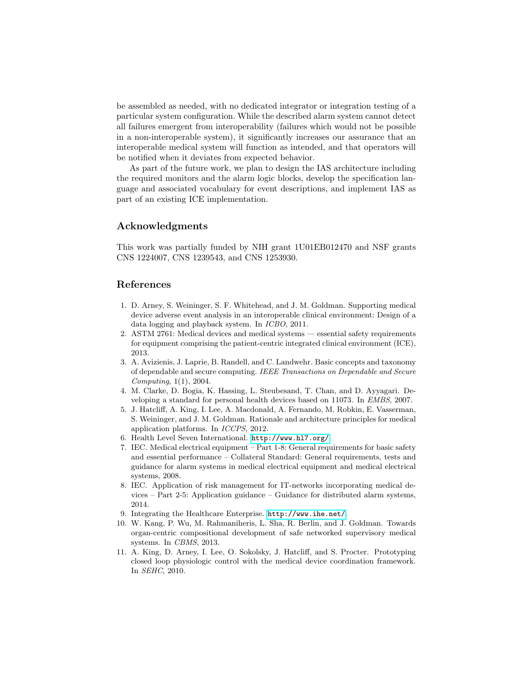be assembled as needed, with no dedicated integrator or integration testing of a particular system configuration. While the described alarm system cannot detect all failures emergent from interoperability (failures which would not be possible in a non-interoperable system), it significantly increases our assurance that an interoperable medical system will function as intended, and that operators will be notified when it deviates from expected behavior.

As part of the future work, we plan to design the IAS architecture including the required monitors and the alarm logic blocks, develop the specification language and associated vocabulary for event descriptions, and implement IAS as part of an existing ICE implementation.

#### Acknowledgments

This work was partially funded by NIH grant 1U01EB012470 and NSF grants CNS 1224007, CNS 1239543, and CNS 1253930.

## References

- <span id="page-15-10"></span>1. D. Arney, S. Weininger, S. F. Whitehead, and J. M. Goldman. Supporting medical device adverse event analysis in an interoperable clinical environment: Design of a data logging and playback system. In ICBO, 2011.
- <span id="page-15-5"></span>2. ASTM 2761: Medical devices and medical systems — essential safety requirements for equipment comprising the patient-centric integrated clinical environment (ICE), 2013.
- <span id="page-15-1"></span>3. A. Avizienis, J. Laprie, B. Randell, and C. Landwehr. Basic concepts and taxonomy of dependable and secure computing. IEEE Transactions on Dependable and Secure Computing, 1(1), 2004.
- <span id="page-15-2"></span>4. M. Clarke, D. Bogia, K. Hassing, L. Steubesand, T. Chan, and D. Ayyagari. Developing a standard for personal health devices based on 11073. In EMBS, 2007.
- <span id="page-15-7"></span>5. J. Hatcliff, A. King, I. Lee, A. Macdonald, A. Fernando, M. Robkin, E. Vasserman, S. Weininger, and J. M. Goldman. Rationale and architecture principles for medical application platforms. In ICCPS, 2012.
- <span id="page-15-4"></span>6. Health Level Seven International. <http://www.hl7.org/>.
- <span id="page-15-8"></span>7. IEC. Medical electrical equipment – Part 1-8: General requirements for basic safety and essential performance – Collateral Standard: General requirements, tests and guidance for alarm systems in medical electrical equipment and medical electrical systems, 2008.
- <span id="page-15-9"></span>8. IEC. Application of risk management for IT-networks incorporating medical devices – Part 2-5: Application guidance – Guidance for distributed alarm systems, 2014.
- <span id="page-15-3"></span>9. Integrating the Healthcare Enterprise. <http://www.ihe.net/>.
- <span id="page-15-0"></span>10. W. Kang, P. Wu, M. Rahmaniheris, L. Sha, R. Berlin, and J. Goldman. Towards organ-centric compositional development of safe networked supervisory medical systems. In CBMS, 2013.
- <span id="page-15-6"></span>11. A. King, D. Arney, I. Lee, O. Sokolsky, J. Hatcliff, and S. Procter. Prototyping closed loop physiologic control with the medical device coordination framework. In SEHC, 2010.